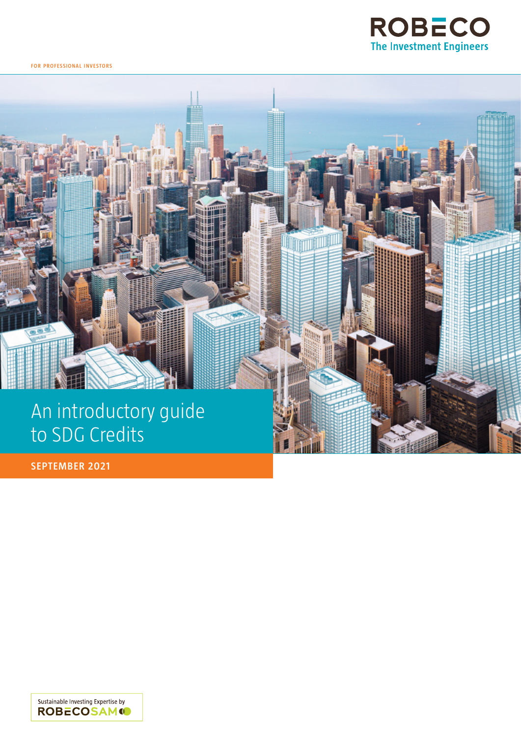

**for professional i nvestors**



**SEPTEMBER 2021**

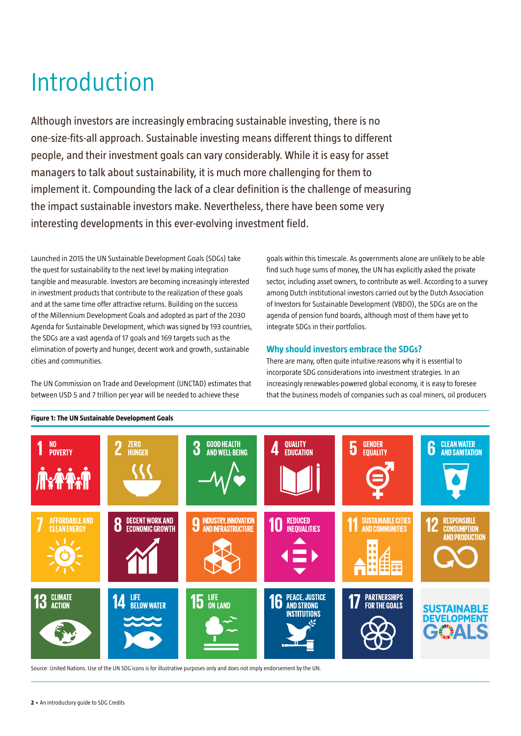# Introduction

Although investors are increasingly embracing sustainable investing, there is no one-size-fits-all approach. Sustainable investing means different things to different people, and their investment goals can vary considerably. While it is easy for asset managers to talk about sustainability, it is much more challenging for them to implement it. Compounding the lack of a clear definition is the challenge of measuring the impact sustainable investors make. Nevertheless, there have been some very interesting developments in this ever-evolving investment field.

Launched in 2015 the UN Sustainable Development Goals (SDGs) take the quest for sustainability to the next level by making integration tangible and measurable. Investors are becoming increasingly interested in investment products that contribute to the realization of these goals and at the same time offer attractive returns. Building on the success of the Millennium Development Goals and adopted as part of the 2030 Agenda for Sustainable Development, which was signed by 193 countries, the SDGs are a vast agenda of 17 goals and 169 targets such as the elimination of poverty and hunger, decent work and growth, sustainable cities and communities.

The UN Commission on Trade and Development (UNCTAD) estimates that between USD 5 and 7 trillion per year will be needed to achieve these

goals within this timescale. As governments alone are unlikely to be able find such huge sums of money, the UN has explicitly asked the private sector, including asset owners, to contribute as well. According to a survey among Dutch institutional investors carried out by the Dutch Association of Investors for Sustainable Development (VBDO), the SDGs are on the agenda of pension fund boards, although most of them have yet to integrate SDGs in their portfolios.

# **Why should investors embrace the SDGs?**

There are many, often quite intuitive reasons why it is essential to incorporate SDG considerations into investment strategies. In an increasingly renewables-powered global economy, it is easy to foresee that the business models of companies such as coal miners, oil producers



Source: United Nations. Use of the UN SDG icons is for illustrative purposes only and does not imply endorsement by the UN.

# **Figure 1: The UN Sustainable Development Goals**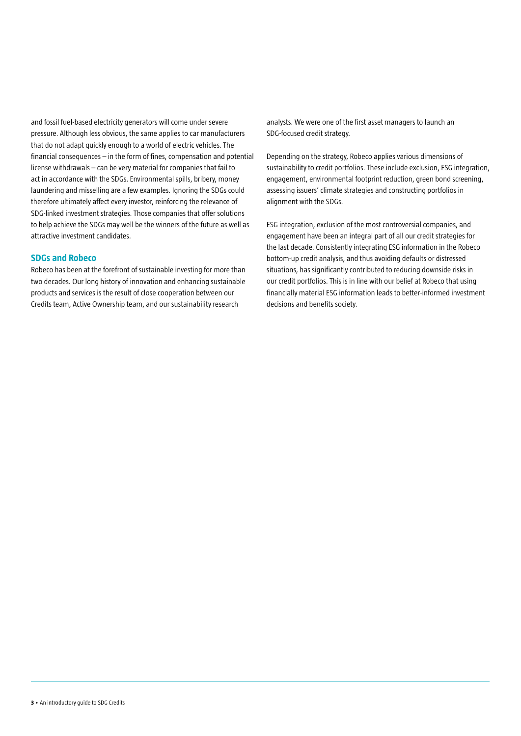and fossil fuel-based electricity generators will come under severe pressure. Although less obvious, the same applies to car manufacturers that do not adapt quickly enough to a world of electric vehicles. The financial consequences – in the form of fines, compensation and potential license withdrawals – can be very material for companies that fail to act in accordance with the SDGs. Environmental spills, bribery, money laundering and misselling are a few examples. Ignoring the SDGs could therefore ultimately affect every investor, reinforcing the relevance of SDG-linked investment strategies. Those companies that offer solutions to help achieve the SDGs may well be the winners of the future as well as attractive investment candidates.

# **SDGs and Robeco**

Robeco has been at the forefront of sustainable investing for more than two decades. Our long history of innovation and enhancing sustainable products and services is the result of close cooperation between our Credits team, Active Ownership team, and our sustainability research

analysts. We were one of the first asset managers to launch an SDG-focused credit strategy.

Depending on the strategy, Robeco applies various dimensions of sustainability to credit portfolios. These include exclusion, ESG integration, engagement, environmental footprint reduction, green bond screening, assessing issuers' climate strategies and constructing portfolios in alignment with the SDGs.

ESG integration, exclusion of the most controversial companies, and engagement have been an integral part of all our credit strategies for the last decade. Consistently integrating ESG information in the Robeco bottom-up credit analysis, and thus avoiding defaults or distressed situations, has significantly contributed to reducing downside risks in our credit portfolios. This is in line with our belief at Robeco that using financially material ESG information leads to better-informed investment decisions and benefits society.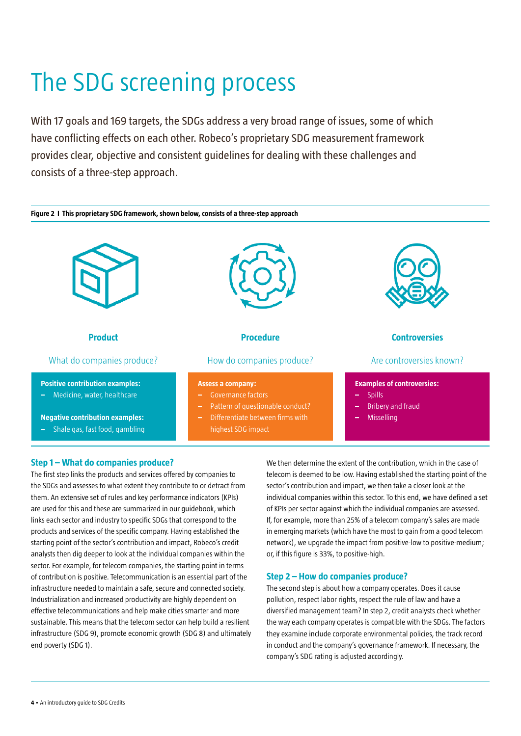# The SDG screening process

With 17 goals and 169 targets, the SDGs address a very broad range of issues, some of which have conflicting effects on each other. Robeco's proprietary SDG measurement framework provides clear, objective and consistent guidelines for dealing with these challenges and consists of a three-step approach.



# **Step 1 – What do companies produce?**

The first step links the products and services offered by companies to the SDGs and assesses to what extent they contribute to or detract from them. An extensive set of rules and key performance indicators (KPIs) are used for this and these are summarized in our guidebook, which links each sector and industry to specific SDGs that correspond to the products and services of the specific company. Having established the starting point of the sector's contribution and impact, Robeco's credit analysts then dig deeper to look at the individual companies within the sector. For example, for telecom companies, the starting point in terms of contribution is positive. Telecommunication is an essential part of the infrastructure needed to maintain a safe, secure and connected society. Industrialization and increased productivity are highly dependent on effective telecommunications and help make cities smarter and more sustainable. This means that the telecom sector can help build a resilient infrastructure (SDG 9), promote economic growth (SDG 8) and ultimately end poverty (SDG 1).

We then determine the extent of the contribution, which in the case of telecom is deemed to be low. Having established the starting point of the sector's contribution and impact, we then take a closer look at the individual companies within this sector. To this end, we have defined a set of KPIs per sector against which the individual companies are assessed. If, for example, more than 25% of a telecom company's sales are made in emerging markets (which have the most to gain from a good telecom network), we upgrade the impact from positive-low to positive-medium; or, if this figure is 33%, to positive-high.

# **Step 2 – How do companies produce?**

The second step is about how a company operates. Does it cause pollution, respect labor rights, respect the rule of law and have a diversified management team? In step 2, credit analysts check whether the way each company operates is compatible with the SDGs. The factors they examine include corporate environmental policies, the track record in conduct and the company's governance framework. If necessary, the company's SDG rating is adjusted accordingly.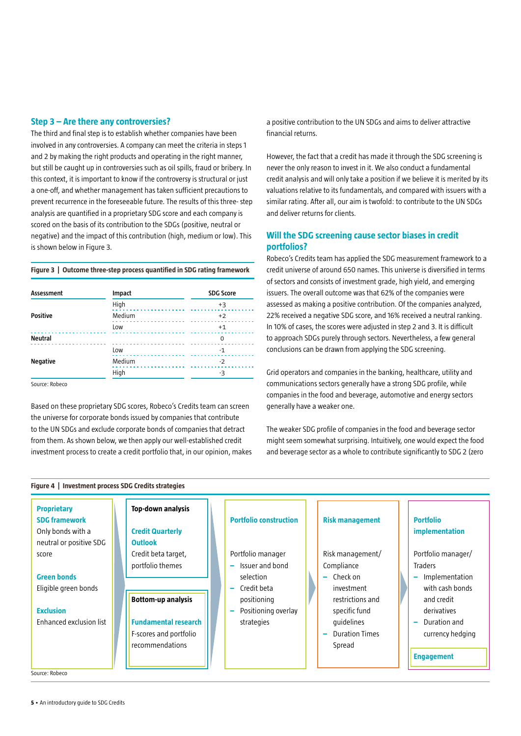## **Step 3 – Are there any controversies?**

The third and final step is to establish whether companies have been involved in any controversies. A company can meet the criteria in steps 1 and 2 by making the right products and operating in the right manner, but still be caught up in controversies such as oil spills, fraud or bribery. In this context, it is important to know if the controversy is structural or just a one-off, and whether management has taken sufficient precautions to prevent recurrence in the foreseeable future. The results of this three- step analysis are quantified in a proprietary SDG score and each company is scored on the basis of its contribution to the SDGs (positive, neutral or negative) and the impact of this contribution (high, medium or low). This is shown below in Figure 3.

## **Figure 3 | Outcome three-step process quantified in SDG rating framework**

| Assessment      | Impact | <b>SDG Score</b> |
|-----------------|--------|------------------|
| <b>Positive</b> | High   | $+3$             |
|                 | Medium | $+2$             |
|                 | Low    | $+1$             |
| <b>Neutral</b>  |        | 0                |
| <b>Negative</b> | Low    | $-1$             |
|                 | Medium | $-2$             |
|                 | High   | -3               |
|                 |        |                  |

Source: Robeco

Based on these proprietary SDG scores, Robeco's Credits team can screen the universe for corporate bonds issued by companies that contribute to the UN SDGs and exclude corporate bonds of companies that detract from them. As shown below, we then apply our well-established credit investment process to create a credit portfolio that, in our opinion, makes a positive contribution to the UN SDGs and aims to deliver attractive financial returns.

However, the fact that a credit has made it through the SDG screening is never the only reason to invest in it. We also conduct a fundamental credit analysis and will only take a position if we believe it is merited by its valuations relative to its fundamentals, and compared with issuers with a similar rating. After all, our aim is twofold: to contribute to the UN SDGs and deliver returns for clients.

# **Will the SDG screening cause sector biases in credit portfolios?**

Robeco's Credits team has applied the SDG measurement framework to a credit universe of around 650 names. This universe is diversified in terms of sectors and consists of investment grade, high yield, and emerging issuers. The overall outcome was that 62% of the companies were assessed as making a positive contribution. Of the companies analyzed, 22% received a negative SDG score, and 16% received a neutral ranking. In 10% of cases, the scores were adjusted in step 2 and 3. It is difficult to approach SDGs purely through sectors. Nevertheless, a few general conclusions can be drawn from applying the SDG screening.

Grid operators and companies in the banking, healthcare, utility and communications sectors generally have a strong SDG profile, while companies in the food and beverage, automotive and energy sectors generally have a weaker one.

The weaker SDG profile of companies in the food and beverage sector might seem somewhat surprising. Intuitively, one would expect the food and beverage sector as a whole to contribute significantly to SDG 2 (zero



Source: Robeco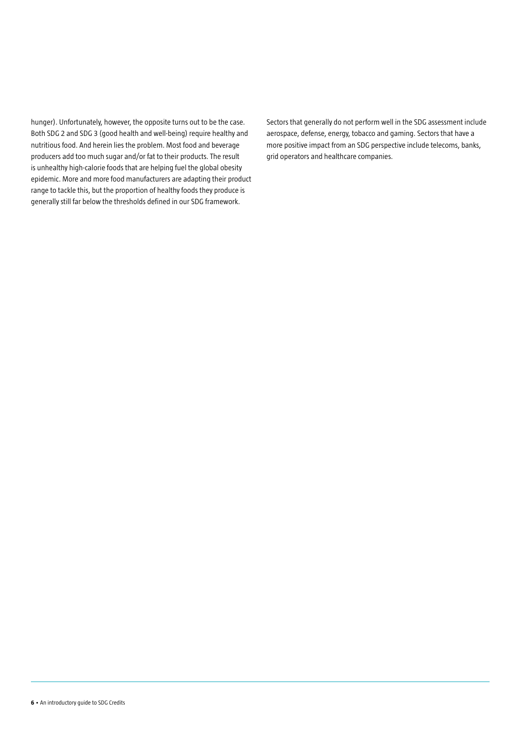hunger). Unfortunately, however, the opposite turns out to be the case. Both SDG 2 and SDG 3 (good health and well-being) require healthy and nutritious food. And herein lies the problem. Most food and beverage producers add too much sugar and/or fat to their products. The result is unhealthy high-calorie foods that are helping fuel the global obesity epidemic. More and more food manufacturers are adapting their product range to tackle this, but the proportion of healthy foods they produce is generally still far below the thresholds defined in our SDG framework.

Sectors that generally do not perform well in the SDG assessment include aerospace, defense, energy, tobacco and gaming. Sectors that have a more positive impact from an SDG perspective include telecoms, banks, grid operators and healthcare companies.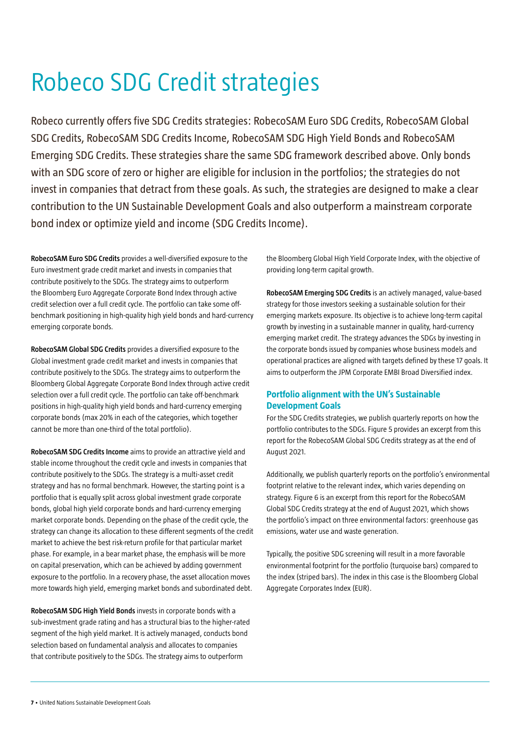# Robeco SDG Credit strategies

Robeco currently offers five SDG Credits strategies: RobecoSAM Euro SDG Credits, RobecoSAM Global SDG Credits, RobecoSAM SDG Credits Income, RobecoSAM SDG High Yield Bonds and RobecoSAM Emerging SDG Credits. These strategies share the same SDG framework described above. Only bonds with an SDG score of zero or higher are eligible for inclusion in the portfolios; the strategies do not invest in companies that detract from these goals. As such, the strategies are designed to make a clear contribution to the UN Sustainable Development Goals and also outperform a mainstream corporate bond index or optimize yield and income (SDG Credits Income).

**RobecoSAM Euro SDG Credits** provides a well-diversified exposure to the Euro investment grade credit market and invests in companies that contribute positively to the SDGs. The strategy aims to outperform the Bloomberg Euro Aggregate Corporate Bond Index through active credit selection over a full credit cycle. The portfolio can take some offbenchmark positioning in high-quality high yield bonds and hard-currency emerging corporate bonds.

**RobecoSAM Global SDG Credits** provides a diversified exposure to the Global investment grade credit market and invests in companies that contribute positively to the SDGs. The strategy aims to outperform the Bloomberg Global Aggregate Corporate Bond Index through active credit selection over a full credit cycle. The portfolio can take off-benchmark positions in high-quality high yield bonds and hard-currency emerging corporate bonds (max 20% in each of the categories, which together cannot be more than one-third of the total portfolio).

**RobecoSAM SDG Credits Income** aims to provide an attractive yield and stable income throughout the credit cycle and invests in companies that contribute positively to the SDGs. The strategy is a multi-asset credit strategy and has no formal benchmark. However, the starting point is a portfolio that is equally split across global investment grade corporate bonds, global high yield corporate bonds and hard-currency emerging market corporate bonds. Depending on the phase of the credit cycle, the strategy can change its allocation to these different segments of the credit market to achieve the best risk-return profile for that particular market phase. For example, in a bear market phase, the emphasis will be more on capital preservation, which can be achieved by adding government exposure to the portfolio. In a recovery phase, the asset allocation moves more towards high yield, emerging market bonds and subordinated debt.

**RobecoSAM SDG High Yield Bonds** invests in corporate bonds with a sub-investment grade rating and has a structural bias to the higher-rated segment of the high yield market. It is actively managed, conducts bond selection based on fundamental analysis and allocates to companies that contribute positively to the SDGs. The strategy aims to outperform

the Bloomberg Global High Yield Corporate Index, with the objective of providing long-term capital growth.

**RobecoSAM Emerging SDG Credits** is an actively managed, value-based strategy for those investors seeking a sustainable solution for their emerging markets exposure. Its objective is to achieve long-term capital growth by investing in a sustainable manner in quality, hard-currency emerging market credit. The strategy advances the SDGs by investing in the corporate bonds issued by companies whose business models and operational practices are aligned with targets defined by these 17 goals. It aims to outperform the JPM Corporate EMBI Broad Diversified index.

# **Portfolio alignment with the UN's Sustainable Development Goals**

For the SDG Credits strategies, we publish quarterly reports on how the portfolio contributes to the SDGs. Figure 5 provides an excerpt from this report for the RobecoSAM Global SDG Credits strategy as at the end of August 2021.

Additionally, we publish quarterly reports on the portfolio's environmental footprint relative to the relevant index, which varies depending on strategy. Figure 6 is an excerpt from this report for the RobecoSAM Global SDG Credits strategy at the end of August 2021, which shows the portfolio's impact on three environmental factors: greenhouse gas emissions, water use and waste generation.

Typically, the positive SDG screening will result in a more favorable environmental footprint for the portfolio (turquoise bars) compared to the index (striped bars). The index in this case is the Bloomberg Global Aggregate Corporates Index (EUR).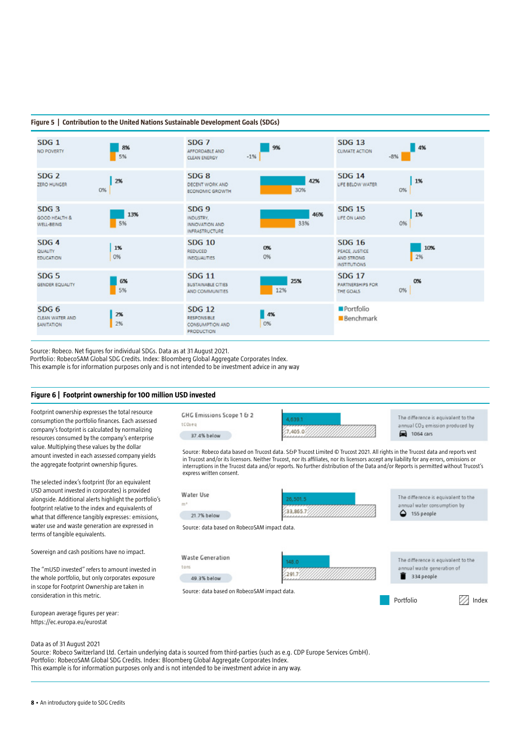### **Figure 5 | Contribution to the United Nations Sustainable Development Goals (SDGs)**



Source: Robeco. Net figures for individual SDGs. Data as at 31 August 2021.

Portfolio: RobecoSAM Global SDG Credits. Index: Bloomberg Global Aggregate Corporates Index.

This example is for information purposes only and is not intended to be investment advice in any way

### **Figure 6 | Footprint ownership for 100 million USD invested**

Footprint ownership expresses the total resource consumption the portfolio finances. Each assessed company's footprint is calculated by normalizing resources consumed by the company's enterprise value. Multiplying these values by the dollar amount invested in each assessed company yields the aggregate footprint ownership figures.

The selected index's footprint (for an equivalent USD amount invested in corporates) is provided alongside. Additional alerts highlight the portfolio's footprint relative to the index and equivalents of what that difference tangibly expresses: emissions, water use and waste generation are expressed in terms of tangible equivalents.

Sovereign and cash positions have no impact.

The "mUSD invested" refers to amount invested in the whole portfolio, but only corporates exposure in scope for Footprint Ownership are taken in consideration in this metric.

European average figures per year: https://ec.europa.eu/eurostat

Data as of 31 August 2021

Source: Robeco Switzerland Ltd. Certain underlying data is sourced from third-parties (such as e.g. CDP Europe Services GmbH). Portfolio: RobecoSAM Global SDG Credits. Index: Bloomberg Global Aggregate Corporates Index. This example is for information purposes only and is not intended to be investment advice in any way.

Source: Robeco data based on Trucost data. S&P Trucost Limited © Trucost 2021. All rights in the Trucost data and reports vest in Trucost and/or its licensors. Neither Trucost, nor its affiliates, nor its licensors accept any liability for any errors, omissions or interruptions in the Trucost data and/or reports. No further distribution of the Data and/or Reports is permitted without Trucost's express written consent. Water Use The difference is equivalent to the 26.501.5  $m<sup>2</sup>$ wal water consumption by 33.865.7  $4$  155 people 21.7% below Source: data based on RobecoSAM impact data. **Waste Generation** The difference is equivalent to the tons ual waste generation of

4,639.1

7,405.0

 $291.7$ 334 people 49.3% below

Portfolio **Index** 

The difference is equivalent to the

annual CO<sub>2</sub> emission produced by

2 1064 cars

Source: data based on RobecoSAM impact data.

**GHG Emissions Scope 1 & 2** 

37.4% below

tCOzeq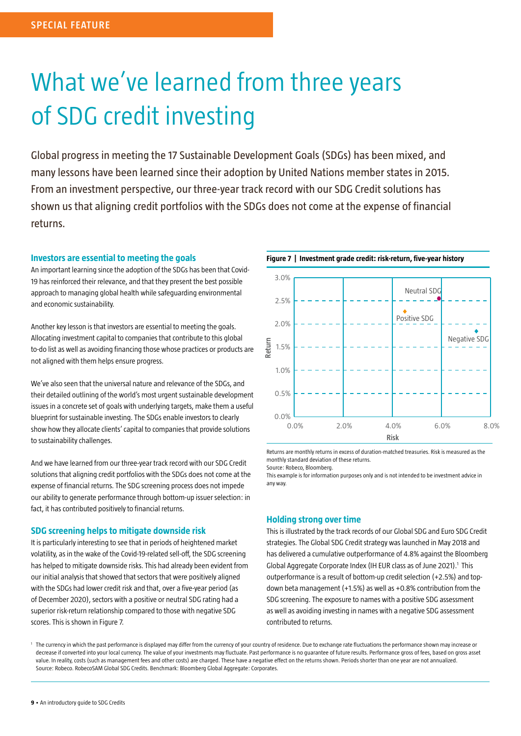# What we've learned from three years of SDG credit investing

Global progress in meeting the 17 Sustainable Development Goals (SDGs) has been mixed, and many lessons have been learned since their adoption by United Nations member states in 2015. From an investment perspective, our three-year track record with our SDG Credit solutions has shown us that aligning credit portfolios with the SDGs does not come at the expense of financial returns.

## **Investors are essential to meeting the goals**

An important learning since the adoption of the SDGs has been that Covid-19 has reinforced their relevance, and that they present the best possible approach to managing global health while safeguarding environmental and economic sustainability.

Another key lesson is that investors are essential to meeting the goals. Allocating investment capital to companies that contribute to this global to-do list as well as avoiding financing those whose practices or products are not aligned with them helps ensure progress.

We've also seen that the universal nature and relevance of the SDGs, and their detailed outlining of the world's most urgent sustainable development issues in a concrete set of goals with underlying targets, make them a useful blueprint for sustainable investing. The SDGs enable investors to clearly show how they allocate clients' capital to companies that provide solutions to sustainability challenges.

And we have learned from our three-year track record with our SDG Credit solutions that aligning credit portfolios with the SDGs does not come at the expense of financial returns. The SDG screening process does not impede our ability to generate performance through bottom-up issuer selection: in fact, it has contributed positively to financial returns.

# **SDG screening helps to mitigate downside risk**

It is particularly interesting to see that in periods of heightened market volatility, as in the wake of the Covid-19-related sell-off, the SDG screening has helped to mitigate downside risks. This had already been evident from our initial analysis that showed that sectors that were positively aligned with the SDGs had lower credit risk and that, over a five-year period (as of December 2020), sectors with a positive or neutral SDG rating had a superior risk-return relationship compared to those with negative SDG scores. This is shown in Figure 7.

**Figure 7 | Investment grade credit: risk-return, five-year history**



Returns are monthly returns in excess of duration-matched treasuries. Risk is measured as the monthly standard deviation of these returns.

Source: Robeco, Bloomberg.

This example is for information purposes only and is not intended to be investment advice in any way.

## **Holding strong over time**

This is illustrated by the track records of our Global SDG and Euro SDG Credit strategies. The Global SDG Credit strategy was launched in May 2018 and has delivered a cumulative outperformance of 4.8% against the Bloomberg Global Aggregate Corporate Index (IH EUR class as of June 2021).<sup>1</sup> This outperformance is a result of bottom-up credit selection (+2.5%) and topdown beta management (+1.5%) as well as +0.8% contribution from the SDG screening. The exposure to names with a positive SDG assessment as well as avoiding investing in names with a negative SDG assessment contributed to returns.

The currency in which the past performance is displayed may differ from the currency of your country of residence. Due to exchange rate fluctuations the performance shown may increase or decrease if converted into your local currency. The value of your investments may fluctuate. Past performance is no guarantee of future results. Performance gross of fees, based on gross asset value. In reality, costs (such as management fees and other costs) are charged. These have a negative effect on the returns shown. Periods shorter than one year are not annualized. Source: Robeco. RobecoSAM Global SDG Credits. Benchmark: Bloomberg Global Aggregate: Corporates.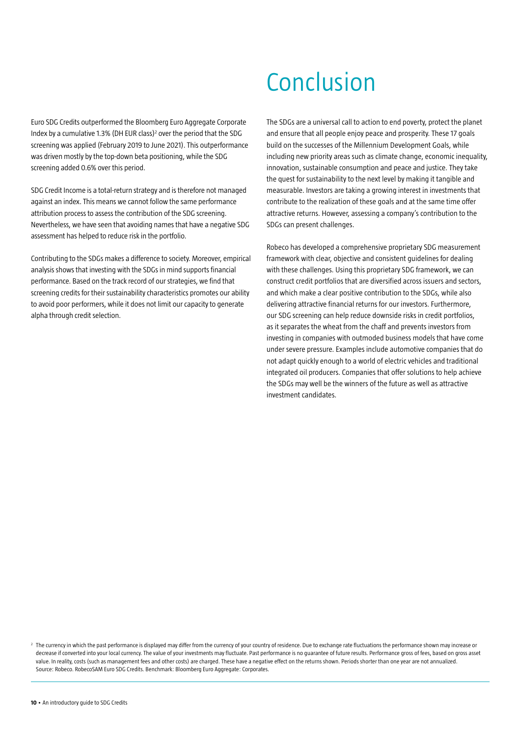# Conclusion

Euro SDG Credits outperformed the Bloomberg Euro Aggregate Corporate Index by a cumulative 1.3% (DH EUR class)<sup>2</sup> over the period that the SDG screening was applied (February 2019 to June 2021). This outperformance was driven mostly by the top-down beta positioning, while the SDG screening added 0.6% over this period.

SDG Credit Income is a total-return strategy and is therefore not managed against an index. This means we cannot follow the same performance attribution process to assess the contribution of the SDG screening. Nevertheless, we have seen that avoiding names that have a negative SDG assessment has helped to reduce risk in the portfolio.

Contributing to the SDGs makes a difference to society. Moreover, empirical analysis shows that investing with the SDGs in mind supports financial performance. Based on the track record of our strategies, we find that screening credits for their sustainability characteristics promotes our ability to avoid poor performers, while it does not limit our capacity to generate alpha through credit selection.

The SDGs are a universal call to action to end poverty, protect the planet and ensure that all people enjoy peace and prosperity. These 17 goals build on the successes of the Millennium Development Goals, while including new priority areas such as climate change, economic inequality, innovation, sustainable consumption and peace and justice. They take the quest for sustainability to the next level by making it tangible and measurable. Investors are taking a growing interest in investments that contribute to the realization of these goals and at the same time offer attractive returns. However, assessing a company's contribution to the SDGs can present challenges.

Robeco has developed a comprehensive proprietary SDG measurement framework with clear, objective and consistent guidelines for dealing with these challenges. Using this proprietary SDG framework, we can construct credit portfolios that are diversified across issuers and sectors, and which make a clear positive contribution to the SDGs, while also delivering attractive financial returns for our investors. Furthermore, our SDG screening can help reduce downside risks in credit portfolios, as it separates the wheat from the chaff and prevents investors from investing in companies with outmoded business models that have come under severe pressure. Examples include automotive companies that do not adapt quickly enough to a world of electric vehicles and traditional integrated oil producers. Companies that offer solutions to help achieve the SDGs may well be the winners of the future as well as attractive investment candidates.

 $^2$  The currency in which the past performance is displayed may differ from the currency of your country of residence. Due to exchange rate fluctuations the performance shown may increase or decrease if converted into your local currency. The value of your investments may fluctuate. Past performance is no guarantee of future results. Performance gross of fees, based on gross asset value. In reality, costs (such as management fees and other costs) are charged. These have a negative effect on the returns shown. Periods shorter than one year are not annualized. Source: Robeco. RobecoSAM Euro SDG Credits. Benchmark: Bloomberg Euro Aggregate: Corporates.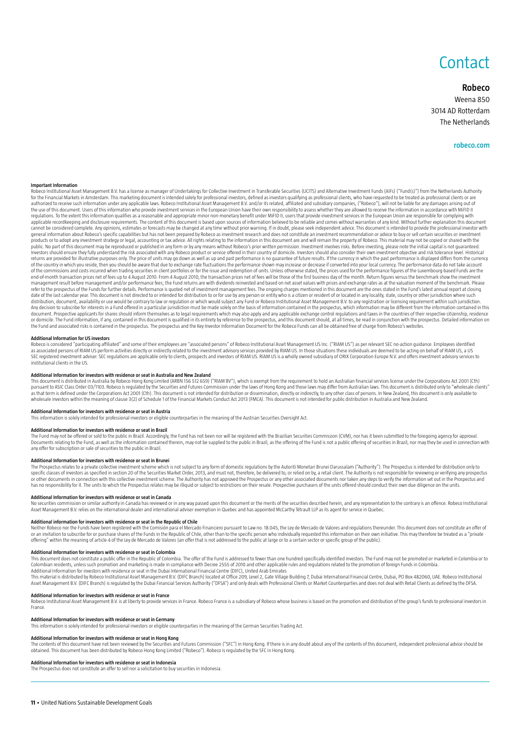# **Contact**

### **Robeco**

Weena 850 3014 AD Rotterdam The Netherlands

#### **robeco.com**

#### **Important Information**

Robeco Institutional Asset Management B.V. has a license as manager of Undertakings for Collective Investment in Transferable Securities (UCITS) and Alternative Investment Eunds (AIFs) ("Fund(s)") from the Netherlands Auth for the Financial Markets in Amsterdam. This marketing document is intended solely for professional investors, defined as investors qualifying as professional clients, who have requested to be treated as professional clien the use of this document. Users of this information who provide investment services in the European Union have their own responsibility to assess whether they are allowed to receive the information in accordance with MiFID applicable recordkeeping and disclosure requirements. The content of this document is based upon sources of information believed to be reliable and comes without warranties of any kind. Without further explanation this doc explorated to provide the professional investor with the forecasts may be changed at any time without prior warning. If in doubt, please seek independent advice. This document is intended to provide the professional invest general information about Robeco's specific capabilities but has not been prepared by Robeco as investment research and does not constitute an investment recommendation or advice to buy or sell certain securities or invest products or to adopt any investment strategy or legal, accounting or tax advice. All rights relating to the information in this document are and will remain the property of Robeco. This material may not be copied or shared public. No part of this document may be reproduced or published in any form or by any means without Robeco's prior written permission. Investment involves risks. Before investing, please note the initial capital is not gua returns are provided for illustrative purposes only. The price of units may go down as well as up and past performance is on guarantee of future results. If the currency in which the past performance is displayed differs f of the commissions and costs incurred when trading securities in client portfolios or for the issue and redemption of units. Unless otherwise stated, the prices used for the performance figures of the Luxembourg-based Fund end-of-month transaction prices net of fees up to 4 August 2010. From 4 August 2010, the transaction prices net of fees will be those of the first business day of the month. Return figures versus the benchmark show the inv management result before management and/or performance fees; the Fund returns are with dividends reinvested and based on net asset values with prices and exchange rates as at the valuation moment of the benchmark. Please refer to the prospectus of the Funds for further details. Performance is quoted net of investment management fees. The ongoing charges mentioned in this document are the ones stated in the Fund's latest annual report at cl date of the last calendar year. This document is not directed to or intended for distribution to or for use by any person or entity who is a citizen or resident of or located in any locality, state, country or other jurisd or domicile. The Fund information, if any contained in this document is qualified in its entirety by reference to the prospectus, and this document should, at all times, be read in conjunction with the prospectus. Detailed the Fund and associated risks is contained in the prospectus. The prospectus and the Key Investor Information Document for the Robeco Funds can all be obtained free of charge from Robeco's websites.

#### **Additional Information for US investors**

Robeco is considered "participating affiliated" and some of their employees are "associated persons" of Robeco Institutional Asset Management US Inc. ("RIAM US") as per relevant SEC no-action guidance. Employees identified as associated persons of RIAM US perform activities directly or indirectly related to the investment advisory services provided by RIAM US. In those situations these individuals are deemed to be acting on behalf of RIAM US institutional clients in the US.

**Additional Information for investors with residence or seat in Australia and New Zealand**<br>This document is distributed in Australia by Robeco Hong Kong Limited (ARBN 156 512 659) ("RIAM BV"), which is exempt from the requ measured the contract on decoration and the Securities and Euries Commission under the laws of Hong kong and those laws may differ from Australian laws. This document is distributed only to "wholesale clients" pursuant to as that term is defined under the Corporations Act 2001 (Cth). This document is not intended for distribution or dissemination, directly or indirectly, to any other class of persons. In New Zealand, this document is only a wholesale investors within the meaning of clause 3(2) of Schedule 1 of the Financial Markets Conduct Act 2013 (FMCA). This document is not intended for public distribution in Australia and New Zealand.

**Additional Information for investors with residence or seat in Austria**<br>This information is solely intended for professional investors or eligible counterparties in the meaning of the Austrian Securities Oversight Act.

#### **Additional Information for investors with residence or seat in Brazil**

The Fund may not be offered or sold to the public in Brazil. Accordingly, the Fund has not been nor will be registered with the Brazilian Securities Commission (CVM), nor has it been submitted to the foregoing agency for a Documents relating to the Fund, as well as the information contained therein, may not be supplied to the public in Brazil, as the offering of the Fund is not a public offering of securities in Brazil, nor may they be used any offer for subscription or sale of securities to the public in Brazil.

### **Additional Information for investors with residence or seat in Brunei**

The Prospectus relates to a private collective investment scheme which is not subject to any form of domestic regulations by the Autoriti Monetari Brunei Darussalam ("Authority"). The Prospectus is intended for distributio specific classes of investors as specified in section 20 of the Securities Market Order, 2013, and must not, therefore, be delivered to, or relied on by, a retail client. The Authority is not responsible for reviewing or v or other documents in connection with this collective investment scheme. The Authority has not approved the Prospectus or any other associated documents nor taken any steps to verify the information set out in the Prospect has no responsibility for it. The units to which the Prospectus relates may be illiquid or subject to restrictions on their resale. Prospective purchasers of the units offered should conduct their own due diligence on the

#### **Additional Information for investors with residence or seat in Canada**

No securities commission or similar authority in Canada has reviewed or in any way passed upon this document or the merits of the securities described herein, and any representation to the contrary is an offence. Robeco In Asset Management B.V. relies on the international dealer and international adviser exemption in Quebec and has appointed McCarthy Tétrault LLP as its agent for service in Quebec.

**Additional information for investors with residence or seat in the Republic of Chile**<br>Neither Robeco nor the Funds have been registered with the Comisión para el Mercado Financiero pursuant to Law no. 18.045, the Ley de M or an invitation to subscribe for or purchase shares of the Funds in the Republic of Chile, other than to the specific person who individually requested this information on their own initiative. This may therefore be treat

#### **Additional Information for investors with residence or seat in Colombia**

This document does not constitute a public offer in the Republic of Colombia. The offer of the Fund is addressed to fewer than one hundred specifically identified investors. The Fund may not be promoted or marketed in Colo Additional Information for investors with residence or seat in the Dubai International Financial Centre (DIFC), United Arab Emirates<br>This material is distributed by Robeco Institutional Asset Management B.V. (DIFC Branch)

Asset Management B.V. (DIFC Branch) is regulated by the Dubai Financial Services Authority ("DFSA") and only deals with Professional Clients or Market Counterparties and does not deal with Retail Clients as defined by the

#### **Additional Information for investors with residence or seat in France**

Robeco Institutional Asset Management B.V. is at liberty to provide services in France. Robeco France is a subsidiary of Robeco whose business is based on the promotion and distribution of the group's funds to professional France.

# **Additional Information for investors with residence or seat in Germany**

This information is solely intended for professional investors or eligible counterparties in the meaning of the German Securities Trading Act.

**Additional Information for investors with residence or seat in Hong Kong<br>The contents of this document have meviewed by the Securities and Futures Commission ("SFC") in Hong Kong. If there is in any doubt about any of the** 

#### **Additional Information for investors with residence or seat in Indonesia**

The Prospectus does not constitute an offer to sell nor a solicitation to buy securities in Indonesia.